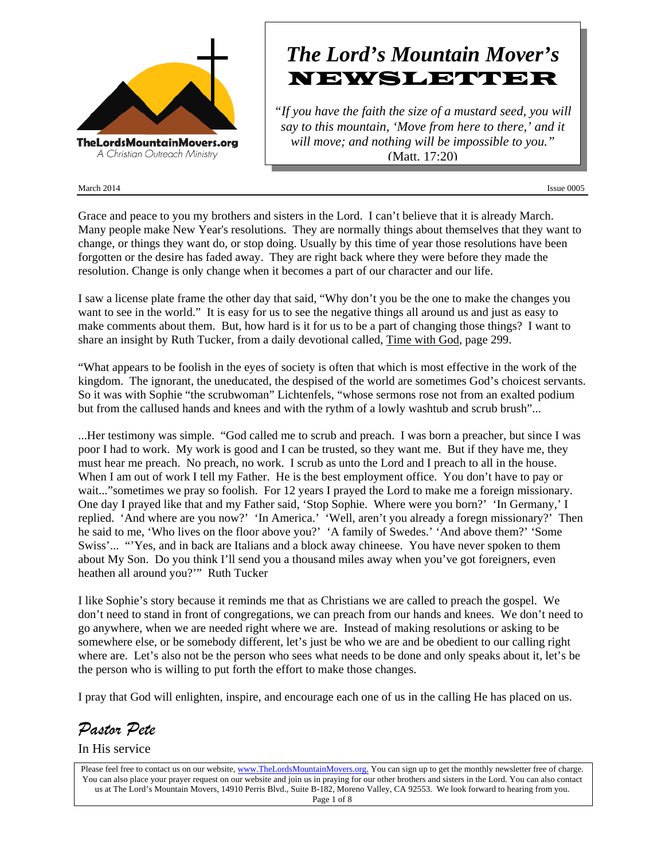

## March 2014 Issue 0005

# *The Lord's Mountain Mover's* NEWSLETTER

*"If you have the faith the size of a mustard seed, you will say to this mountain, 'Move from here to there,' and it will move; and nothing will be impossible to you."* (Matt. 17:20)

Grace and peace to you my brothers and sisters in the Lord. I can't believe that it is already March. Many people make New Year's resolutions. They are normally things about themselves that they want to change, or things they want do, or stop doing. Usually by this time of year those resolutions have been forgotten or the desire has faded away. They are right back where they were before they made the resolution. Change is only change when it becomes a part of our character and our life.

I saw a license plate frame the other day that said, "Why don't you be the one to make the changes you want to see in the world." It is easy for us to see the negative things all around us and just as easy to make comments about them. But, how hard is it for us to be a part of changing those things? I want to share an insight by Ruth Tucker, from a daily devotional called, Time with God, page 299.

"What appears to be foolish in the eyes of society is often that which is most effective in the work of the kingdom. The ignorant, the uneducated, the despised of the world are sometimes God's choicest servants. So it was with Sophie "the scrubwoman" Lichtenfels, "whose sermons rose not from an exalted podium but from the callused hands and knees and with the rythm of a lowly washtub and scrub brush"...

...Her testimony was simple. "God called me to scrub and preach. I was born a preacher, but since I was poor I had to work. My work is good and I can be trusted, so they want me. But if they have me, they must hear me preach. No preach, no work. I scrub as unto the Lord and I preach to all in the house. When I am out of work I tell my Father. He is the best employment office. You don't have to pay or wait..." sometimes we pray so foolish. For 12 years I prayed the Lord to make me a foreign missionary. One day I prayed like that and my Father said, 'Stop Sophie. Where were you born?' 'In Germany,' I replied. 'And where are you now?' 'In America.' 'Well, aren't you already a foregn missionary?' Then he said to me, 'Who lives on the floor above you?' 'A family of Swedes.' 'And above them?' 'Some Swiss'... "'Yes, and in back are Italians and a block away chineese. You have never spoken to them about My Son. Do you think I'll send you a thousand miles away when you've got foreigners, even heathen all around you?'" Ruth Tucker

I like Sophie's story because it reminds me that as Christians we are called to preach the gospel. We don't need to stand in front of congregations, we can preach from our hands and knees. We don't need to go anywhere, when we are needed right where we are. Instead of making resolutions or asking to be somewhere else, or be somebody different, let's just be who we are and be obedient to our calling right where are. Let's also not be the person who sees what needs to be done and only speaks about it, let's be the person who is willing to put forth the effort to make those changes.

I pray that God will enlighten, inspire, and encourage each one of us in the calling He has placed on us.

*Pastor Pete*

In His service

Please feel free to contact us on our website, www.TheLordsMountainMovers.org. You can sign up to get the monthly newsletter free of charge. You can also place your prayer request on our website and join us in praying for our other brothers and sisters in the Lord. You can also contact us at The Lord's Mountain Movers, 14910 Perris Blvd., Suite B-182, Moreno Valley, CA 92553. We look forward to hearing from you. Page 1 of 8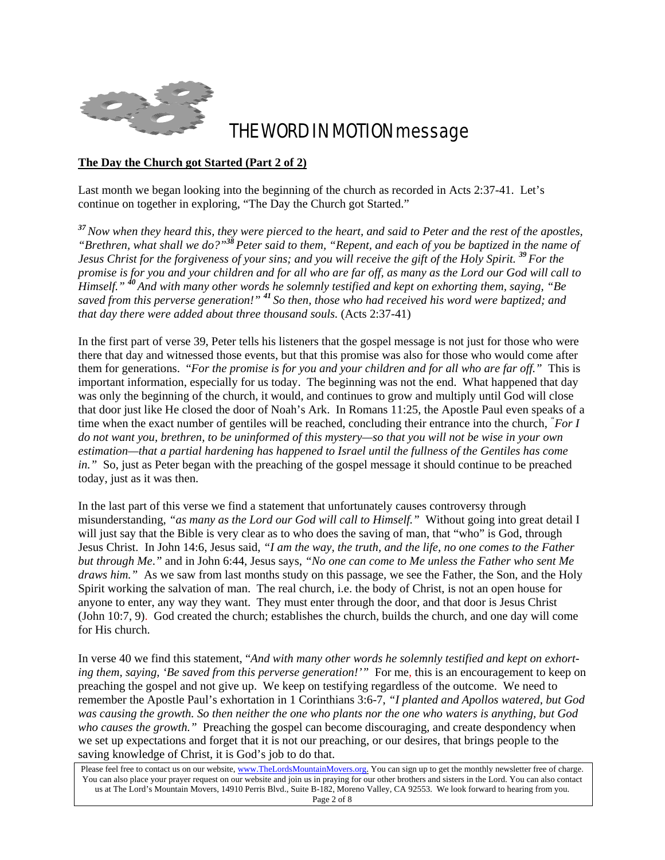

## THE WORD IN MOTION message

## **The Day the Church got Started (Part 2 of 2)**

Last month we began looking into the beginning of the church as recorded in Acts 2:37-41. Let's continue on together in exploring, "The Day the Church got Started."

*<sup>37</sup>Now when they heard this, they were pierced to the heart, and said to Peter and the rest of the apostles, "Brethren, what shall we do?"<sup>38</sup>Peter said to them, "Repent, and each of you be baptized in the name of Jesus Christ for the forgiveness of your sins; and you will receive the gift of the Holy Spirit. <sup>39</sup>For the promise is for you and your children and for all who are far off, as many as the Lord our God will call to Himself." <sup>40</sup>And with many other words he solemnly testified and kept on exhorting them, saying, "Be saved from this perverse generation!" <sup>41</sup>So then, those who had received his word were baptized; and that day there were added about three thousand souls.* (Acts 2:37-41)

In the first part of verse 39, Peter tells his listeners that the gospel message is not just for those who were there that day and witnessed those events, but that this promise was also for those who would come after them for generations. "*For the promise is for you and your children and for all who are far off."* This is important information, especially for us today. The beginning was not the end. What happened that day was only the beginning of the church, it would, and continues to grow and multiply until God will close that door just like He closed the door of Noah's Ark. In Romans 11:25, the Apostle Paul even speaks of a time when the exact number of gentiles will be reached, concluding their entrance into the church, *" For I do not want you, brethren, to be uninformed of this mystery—so that you will not be wise in your own estimation—that a partial hardening has happened to Israel until the fullness of the Gentiles has come in.*" So, just as Peter began with the preaching of the gospel message it should continue to be preached today, just as it was then.

In the last part of this verse we find a statement that unfortunately causes controversy through misunderstanding, *"as many as the Lord our God will call to Himself."* Without going into great detail I will just say that the Bible is very clear as to who does the saving of man, that "who" is God, through Jesus Christ. In John 14:6, Jesus said, *"I am the way, the truth, and the life, no one comes to the Father but through Me*.*"* and in John 6:44, Jesus says, *"No one can come to Me unless the Father who sent Me draws him.*" As we saw from last months study on this passage, we see the Father, the Son, and the Holy Spirit working the salvation of man. The real church, i.e. the body of Christ, is not an open house for anyone to enter, any way they want. They must enter through the door, and that door is Jesus Christ (John 10:7, 9). God created the church; establishes the church, builds the church, and one day will come for His church.

In verse 40 we find this statement, "*And with many other words he solemnly testified and kept on exhorting them, saying, 'Be saved from this perverse generation!'"* For me, this is an encouragement to keep on preaching the gospel and not give up. We keep on testifying regardless of the outcome. We need to remember the Apostle Paul's exhortation in 1 Corinthians 3:6-7, *"I planted and Apollos watered, but God was causing the growth. So then neither the one who plants nor the one who waters is anything, but God who causes the growth."* Preaching the gospel can become discouraging, and create despondency when we set up expectations and forget that it is not our preaching, or our desires, that brings people to the saving knowledge of Christ, it is God's job to do that.

Please feel free to contact us on our website, www.TheLordsMountainMovers.org. You can sign up to get the monthly newsletter free of charge. You can also place your prayer request on our website and join us in praying for our other brothers and sisters in the Lord. You can also contact us at The Lord's Mountain Movers, 14910 Perris Blvd., Suite B-182, Moreno Valley, CA 92553. We look forward to hearing from you. Page 2 of 8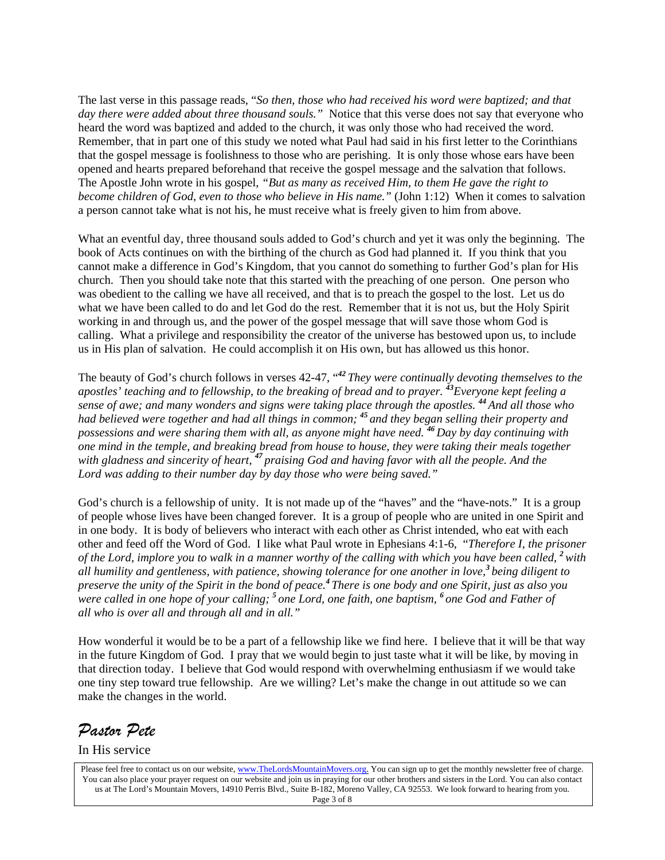The last verse in this passage reads, "*So then, those who had received his word were baptized; and that day there were added about three thousand souls."* Notice that this verse does not say that everyone who heard the word was baptized and added to the church, it was only those who had received the word. Remember, that in part one of this study we noted what Paul had said in his first letter to the Corinthians that the gospel message is foolishness to those who are perishing. It is only those whose ears have been opened and hearts prepared beforehand that receive the gospel message and the salvation that follows. The Apostle John wrote in his gospel, *"But as many as received Him, to them He gave the right to become children of God, even to those who believe in His name.*" (John 1:12) When it comes to salvation a person cannot take what is not his, he must receive what is freely given to him from above.

What an eventful day, three thousand souls added to God's church and yet it was only the beginning. The book of Acts continues on with the birthing of the church as God had planned it. If you think that you cannot make a difference in God's Kingdom, that you cannot do something to further God's plan for His church. Then you should take note that this started with the preaching of one person. One person who was obedient to the calling we have all received, and that is to preach the gospel to the lost. Let us do what we have been called to do and let God do the rest. Remember that it is not us, but the Holy Spirit working in and through us, and the power of the gospel message that will save those whom God is calling. What a privilege and responsibility the creator of the universe has bestowed upon us, to include us in His plan of salvation. He could accomplish it on His own, but has allowed us this honor.

The beauty of God's church follows in verses 42-47, "*<sup>42</sup>They were continually devoting themselves to the apostles' teaching and to fellowship, to the breaking of bread and to prayer. <sup>43</sup>Everyone kept feeling a sense of awe; and many wonders and signs were taking place through the apostles. <sup>44</sup>And all those who had believed were together and had all things in common; <sup>45</sup>and they began selling their property and possessions and were sharing them with all, as anyone might have need. <sup>46</sup>Day by day continuing with one mind in the temple, and breaking bread from house to house, they were taking their meals together with gladness and sincerity of heart, <sup>47</sup>praising God and having favor with all the people. And the Lord was adding to their number day by day those who were being saved."*

God's church is a fellowship of unity. It is not made up of the "haves" and the "have-nots." It is a group of people whose lives have been changed forever. It is a group of people who are united in one Spirit and in one body. It is body of believers who interact with each other as Christ intended, who eat with each other and feed off the Word of God. I like what Paul wrote in Ephesians 4:1-6, "*Therefore I, the prisoner of the Lord, implore you to walk in a manner worthy of the calling with which you have been called, <sup>2</sup>with all humility and gentleness, with patience, showing tolerance for one another in love,<sup>3</sup>being diligent to preserve the unity of the Spirit in the bond of peace.<sup>4</sup>There is one body and one Spirit, just as also you were called in one hope of your calling; <sup>5</sup>one Lord, one faith, one baptism, <sup>6</sup>one God and Father of all who is over all and through all and in all."*

How wonderful it would be to be a part of a fellowship like we find here. I believe that it will be that way in the future Kingdom of God. I pray that we would begin to just taste what it will be like, by moving in that direction today. I believe that God would respond with overwhelming enthusiasm if we would take one tiny step toward true fellowship. Are we willing? Let's make the change in out attitude so we can make the changes in the world.

*Pastor Pete* 

In His service

Please feel free to contact us on our website, www.TheLordsMountainMovers.org. You can sign up to get the monthly newsletter free of charge. You can also place your prayer request on our website and join us in praying for our other brothers and sisters in the Lord. You can also contact us at The Lord's Mountain Movers, 14910 Perris Blvd., Suite B-182, Moreno Valley, CA 92553. We look forward to hearing from you. Page 3 of 8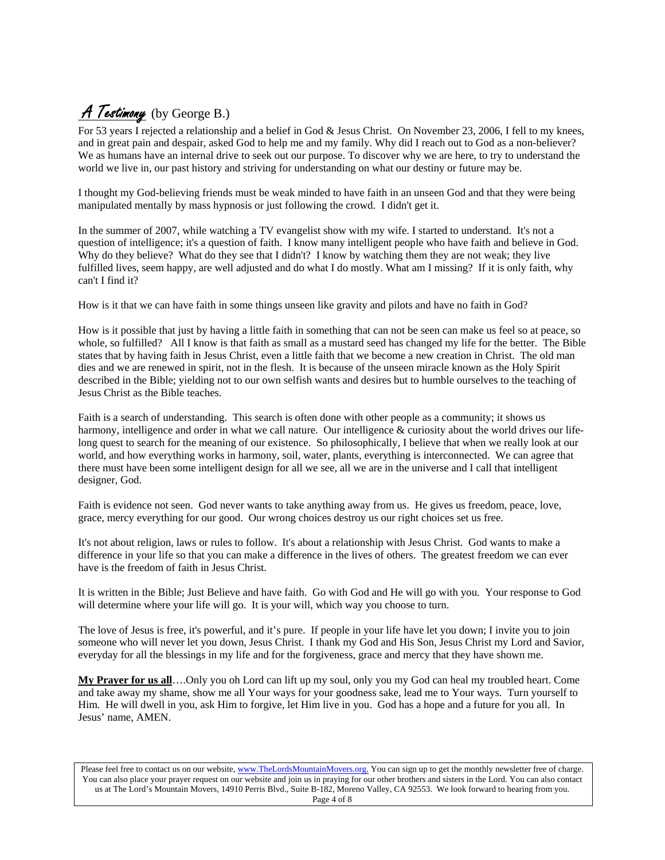## A Testimony (by George B.)

For 53 years I rejected a relationship and a belief in God & Jesus Christ. On November 23, 2006, I fell to my knees, and in great pain and despair, asked God to help me and my family. Why did I reach out to God as a non-believer? We as humans have an internal drive to seek out our purpose. To discover why we are here, to try to understand the world we live in, our past history and striving for understanding on what our destiny or future may be.

I thought my God-believing friends must be weak minded to have faith in an unseen God and that they were being manipulated mentally by mass hypnosis or just following the crowd. I didn't get it.

In the summer of 2007, while watching a TV evangelist show with my wife. I started to understand. It's not a question of intelligence; it's a question of faith. I know many intelligent people who have faith and believe in God. Why do they believe? What do they see that I didn't? I know by watching them they are not weak; they live fulfilled lives, seem happy, are well adjusted and do what I do mostly. What am I missing? If it is only faith, why can't I find it?

How is it that we can have faith in some things unseen like gravity and pilots and have no faith in God?

How is it possible that just by having a little faith in something that can not be seen can make us feel so at peace, so whole, so fulfilled? All I know is that faith as small as a mustard seed has changed my life for the better. The Bible states that by having faith in Jesus Christ, even a little faith that we become a new creation in Christ. The old man dies and we are renewed in spirit, not in the flesh. It is because of the unseen miracle known as the Holy Spirit described in the Bible; yielding not to our own selfish wants and desires but to humble ourselves to the teaching of Jesus Christ as the Bible teaches.

Faith is a search of understanding. This search is often done with other people as a community; it shows us harmony, intelligence and order in what we call nature. Our intelligence & curiosity about the world drives our lifelong quest to search for the meaning of our existence. So philosophically, I believe that when we really look at our world, and how everything works in harmony, soil, water, plants, everything is interconnected. We can agree that there must have been some intelligent design for all we see, all we are in the universe and I call that intelligent designer, God.

Faith is evidence not seen. God never wants to take anything away from us. He gives us freedom, peace, love, grace, mercy everything for our good. Our wrong choices destroy us our right choices set us free.

It's not about religion, laws or rules to follow. It's about a relationship with Jesus Christ. God wants to make a difference in your life so that you can make a difference in the lives of others. The greatest freedom we can ever have is the freedom of faith in Jesus Christ.

It is written in the Bible; Just Believe and have faith. Go with God and He will go with you. Your response to God will determine where your life will go. It is your will, which way you choose to turn.

The love of Jesus is free, it's powerful, and it's pure. If people in your life have let you down; I invite you to join someone who will never let you down, Jesus Christ. I thank my God and His Son, Jesus Christ my Lord and Savior, everyday for all the blessings in my life and for the forgiveness, grace and mercy that they have shown me.

**My Prayer for us all**….Only you oh Lord can lift up my soul, only you my God can heal my troubled heart. Come and take away my shame, show me all Your ways for your goodness sake, lead me to Your ways. Turn yourself to Him. He will dwell in you, ask Him to forgive, let Him live in you. God has a hope and a future for you all. In Jesus' name, AMEN.

Please feel free to contact us on our website, www.TheLordsMountainMovers.org. You can sign up to get the monthly newsletter free of charge. You can also place your prayer request on our website and join us in praying for our other brothers and sisters in the Lord. You can also contact us at The Lord's Mountain Movers, 14910 Perris Blvd., Suite B-182, Moreno Valley, CA 92553. We look forward to hearing from you. Page 4 of 8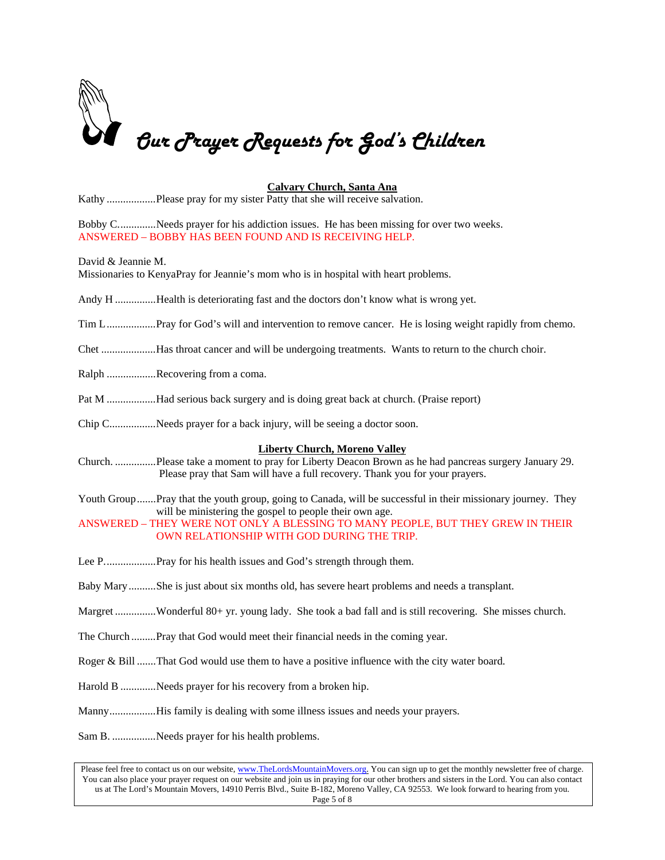

## **Calvary Church, Santa Ana**

Kathy ..................Please pray for my sister Patty that she will receive salvation.

Bobby C..............Needs prayer for his addiction issues. He has been missing for over two weeks. ANSWERED – BOBBY HAS BEEN FOUND AND IS RECEIVING HELP.

David & Jeannie M.

Missionaries to KenyaPray for Jeannie's mom who is in hospital with heart problems.

Andy H ...............Health is deteriorating fast and the doctors don't know what is wrong yet.

Tim L..................Pray for God's will and intervention to remove cancer. He is losing weight rapidly from chemo.

Chet ....................Has throat cancer and will be undergoing treatments. Wants to return to the church choir.

Ralph ..................Recovering from a coma.

Pat M ..................Had serious back surgery and is doing great back at church. (Praise report)

Chip C.................Needs prayer for a back injury, will be seeing a doctor soon.

#### **Liberty Church, Moreno Valley**

Church. ...............Please take a moment to pray for Liberty Deacon Brown as he had pancreas surgery January 29. Please pray that Sam will have a full recovery. Thank you for your prayers.

Youth Group.......Pray that the youth group, going to Canada, will be successful in their missionary journey. They will be ministering the gospel to people their own age.

ANSWERED – THEY WERE NOT ONLY A BLESSING TO MANY PEOPLE, BUT THEY GREW IN THEIR OWN RELATIONSHIP WITH GOD DURING THE TRIP.

- Lee P.......................Pray for his health issues and God's strength through them.
- Baby Mary..........She is just about six months old, has severe heart problems and needs a transplant.
- Margret ...............Wonderful 80+ yr. young lady. She took a bad fall and is still recovering. She misses church.
- The Church .........Pray that God would meet their financial needs in the coming year.
- Roger & Bill .......That God would use them to have a positive influence with the city water board.
- Harold B .............Needs prayer for his recovery from a broken hip.

Manny.................His family is dealing with some illness issues and needs your prayers.

Sam B. ................Needs prayer for his health problems.

Please feel free to contact us on our website, www.TheLordsMountainMovers.org. You can sign up to get the monthly newsletter free of charge. You can also place your prayer request on our website and join us in praying for our other brothers and sisters in the Lord. You can also contact us at The Lord's Mountain Movers, 14910 Perris Blvd., Suite B-182, Moreno Valley, CA 92553. We look forward to hearing from you. Page 5 of 8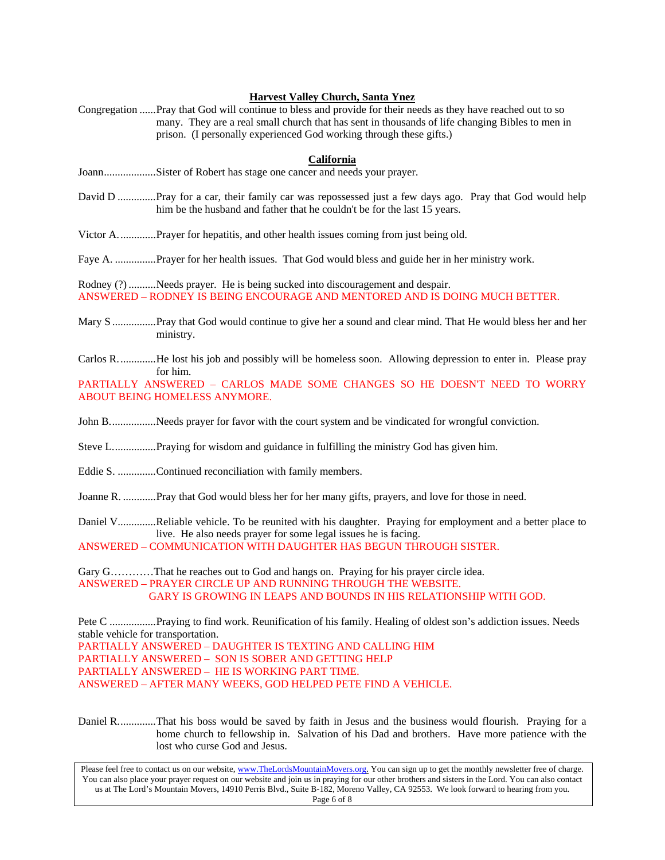### **Harvest Valley Church, Santa Ynez**

Congregation ......Pray that God will continue to bless and provide for their needs as they have reached out to so many. They are a real small church that has sent in thousands of life changing Bibles to men in prison. (I personally experienced God working through these gifts.)

### **California**

- Joann...................Sister of Robert has stage one cancer and needs your prayer.
- David D ..............Pray for a car, their family car was repossessed just a few days ago. Pray that God would help him be the husband and father that he couldn't be for the last 15 years.

Victor A..............Prayer for hepatitis, and other health issues coming from just being old.

Faye A. ...............Prayer for her health issues. That God would bless and guide her in her ministry work.

Rodney (?) ..........Needs prayer. He is being sucked into discouragement and despair. ANSWERED – RODNEY IS BEING ENCOURAGE AND MENTORED AND IS DOING MUCH BETTER.

Mary S ................Pray that God would continue to give her a sound and clear mind. That He would bless her and her ministry.

Carlos R..............He lost his job and possibly will be homeless soon. Allowing depression to enter in. Please pray for him.

PARTIALLY ANSWERED – CARLOS MADE SOME CHANGES SO HE DOESN'T NEED TO WORRY ABOUT BEING HOMELESS ANYMORE.

- John B.................Needs prayer for favor with the court system and be vindicated for wrongful conviction.
- Steve L................Praying for wisdom and guidance in fulfilling the ministry God has given him.
- Eddie S. ..............Continued reconciliation with family members.
- Joanne R. ............Pray that God would bless her for her many gifts, prayers, and love for those in need.
- Daniel V..............Reliable vehicle. To be reunited with his daughter. Praying for employment and a better place to live. He also needs prayer for some legal issues he is facing.

ANSWERED – COMMUNICATION WITH DAUGHTER HAS BEGUN THROUGH SISTER.

Gary G…………That he reaches out to God and hangs on. Praying for his prayer circle idea. ANSWERED – PRAYER CIRCLE UP AND RUNNING THROUGH THE WEBSITE. GARY IS GROWING IN LEAPS AND BOUNDS IN HIS RELATIONSHIP WITH GOD.

Pete C .................Praying to find work. Reunification of his family. Healing of oldest son's addiction issues. Needs stable vehicle for transportation. PARTIALLY ANSWERED – DAUGHTER IS TEXTING AND CALLING HIM PARTIALLY ANSWERED – SON IS SOBER AND GETTING HELP PARTIALLY ANSWERED – HE IS WORKING PART TIME. ANSWERED – AFTER MANY WEEKS, GOD HELPED PETE FIND A VEHICLE.

Daniel R..............That his boss would be saved by faith in Jesus and the business would flourish. Praying for a home church to fellowship in. Salvation of his Dad and brothers. Have more patience with the lost who curse God and Jesus.

Please feel free to contact us on our website, www.TheLordsMountainMovers.org. You can sign up to get the monthly newsletter free of charge. You can also place your prayer request on our website and join us in praying for our other brothers and sisters in the Lord. You can also contact us at The Lord's Mountain Movers, 14910 Perris Blvd., Suite B-182, Moreno Valley, CA 92553. We look forward to hearing from you. Page 6 of 8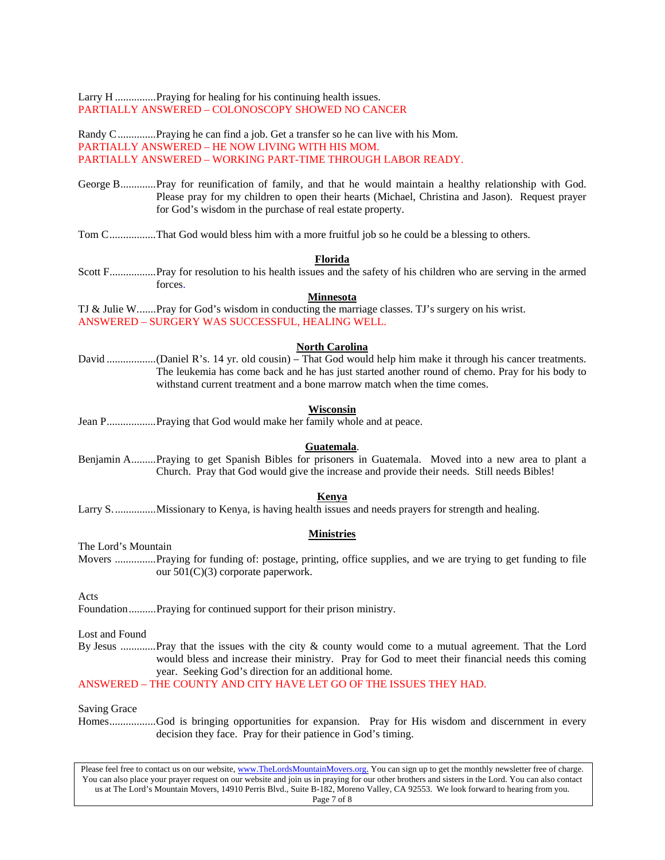Larry H ...............Praying for healing for his continuing health issues. PARTIALLY ANSWERED – COLONOSCOPY SHOWED NO CANCER

Randy C..............Praying he can find a job. Get a transfer so he can live with his Mom. PARTIALLY ANSWERED – HE NOW LIVING WITH HIS MOM. PARTIALLY ANSWERED – WORKING PART-TIME THROUGH LABOR READY.

- George B.............Pray for reunification of family, and that he would maintain a healthy relationship with God. Please pray for my children to open their hearts (Michael, Christina and Jason). Request prayer for God's wisdom in the purchase of real estate property.
- Tom C.................That God would bless him with a more fruitful job so he could be a blessing to others.

#### **Florida**

Scott F.................Pray for resolution to his health issues and the safety of his children who are serving in the armed forces.

### **Minnesota**

TJ & Julie W.......Pray for God's wisdom in conducting the marriage classes. TJ's surgery on his wrist. ANSWERED – SURGERY WAS SUCCESSFUL, HEALING WELL.

### **North Carolina**

David ..................(Daniel R's. 14 yr. old cousin) – That God would help him make it through his cancer treatments. The leukemia has come back and he has just started another round of chemo. Pray for his body to withstand current treatment and a bone marrow match when the time comes.

#### **Wisconsin**

Jean P..................Praying that God would make her family whole and at peace.

#### **Guatemala**.

Benjamin A.........Praying to get Spanish Bibles for prisoners in Guatemala. Moved into a new area to plant a Church. Pray that God would give the increase and provide their needs. Still needs Bibles!

### **Kenya**

Larry S................Missionary to Kenya, is having health issues and needs prayers for strength and healing.

#### **Ministries**

The Lord's Mountain

Movers ...............Praying for funding of: postage, printing, office supplies, and we are trying to get funding to file our 501(C)(3) corporate paperwork.

Acts

Foundation..........Praying for continued support for their prison ministry.

Lost and Found

By Jesus .............Pray that the issues with the city & county would come to a mutual agreement. That the Lord would bless and increase their ministry. Pray for God to meet their financial needs this coming year. Seeking God's direction for an additional home.

ANSWERED – THE COUNTY AND CITY HAVE LET GO OF THE ISSUES THEY HAD.

Saving Grace

Homes.................God is bringing opportunities for expansion. Pray for His wisdom and discernment in every decision they face. Pray for their patience in God's timing.

Please feel free to contact us on our website, www.TheLordsMountainMovers.org. You can sign up to get the monthly newsletter free of charge. You can also place your prayer request on our website and join us in praying for our other brothers and sisters in the Lord. You can also contact us at The Lord's Mountain Movers, 14910 Perris Blvd., Suite B-182, Moreno Valley, CA 92553. We look forward to hearing from you. Page 7 of 8